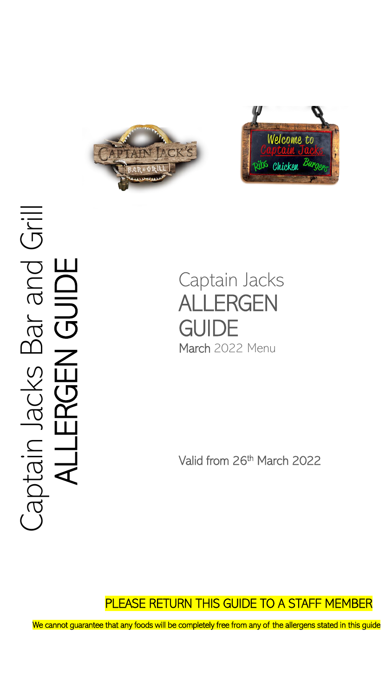



# Captain Jacks Bar and Grill aptain Jacks Bar and Gril ALLERGEN GUIDE **OIDD**<br>NGUID ERGE

Captain Jacks ALLERGEN **GUIDE** March 2022 Menu

Valid from 26<sup>th</sup> March 2022

# PLEASE RETURN THIS GUIDE TO A STAFF MEMBER

We cannot guarantee that any foods will be completely free from any of the allergens stated in this guide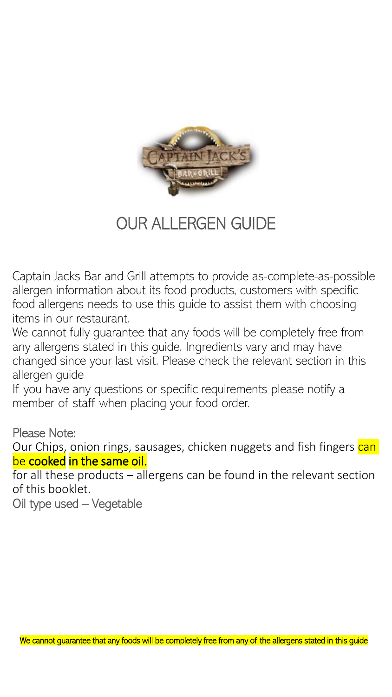

# OUR ALLERGEN GUIDE

Captain Jacks Bar and Grill attempts to provide as-complete-as-possible allergen information about its food products, customers with specific food allergens needs to use this guide to assist them with choosing items in our restaurant.

We cannot fully guarantee that any foods will be completely free from any allergens stated in this guide. Ingredients vary and may have changed since your last visit. Please check the relevant section in this allergen guide

If you have any questions or specific requirements please notify a member of staff when placing your food order.

Please Note:

Our Chips, onion rings, sausages, chicken nuggets and fish fingers can be cooked in the same oil.

for all these products – allergens can be found in the relevant section of this booklet.

Oil type used – Vegetable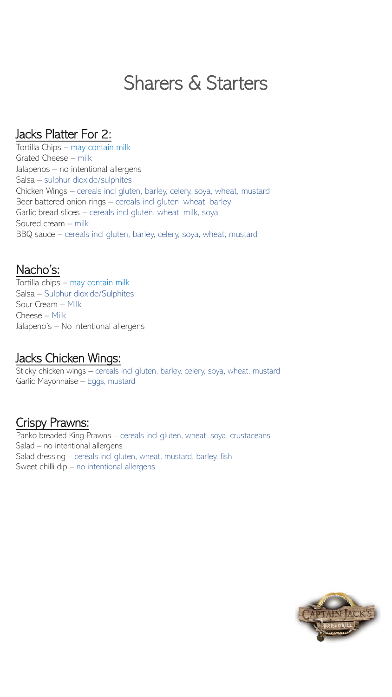# Sharers & Starters

#### Jacks Platter For 2:

Tortilla Chips – may contain milk Grated Cheese – milk Jalapenos – no intentional allergens Salsa – sulphur dioxide/sulphites Chicken Wings – cereals incl gluten, barley, celery, soya, wheat, mustard Beer battered onion rings – cereals incl gluten, wheat, barley Garlic bread slices – cereals incl gluten, wheat, milk, soya Soured cream – milk BBQ sauce – cereals incl gluten, barley, celery, soya, wheat, mustard

#### Nacho's:

Tortilla chips – may contain milk Salsa – Sulphur dioxide/Sulphites Sour Cream – Milk Cheese – Milk Jalapeno's – No intentional allergens

#### Jacks Chicken Wings:

Sticky chicken wings – cereals incl gluten, barley, celery, soya, wheat, mustard Garlic Mayonnaise – Eggs, mustard

#### Crispy Prawns:

Panko breaded King Prawns – cereals incl gluten, wheat, soya, crustaceans Salad – no intentional allergens Salad dressing – cereals incl gluten, wheat, mustard, barley, fish Sweet chilli dip – no intentional allergens

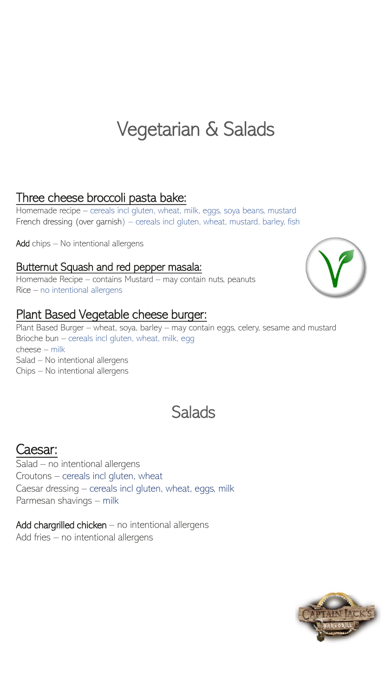# Vegetarian & Salads

### Three cheese broccoli pasta bake:

Homemade recipe – cereals incl gluten, wheat, milk, eggs, soya beans, mustard French dressing (over garnish) – cereals incl gluten, wheat, mustard, barley, fish

Add chips - No intentional allergens

#### Butternut Squash and red pepper masala:

Homemade Recipe – contains Mustard – may contain nuts, peanuts Rice – no intentional allergens

#### Plant Based Vegetable cheese burger:

Plant Based Burger – wheat, soya, barley – may contain eggs, celery, sesame and mustard Brioche bun – cereals incl gluten, wheat, milk, egg cheese – milk Salad – No intentional allergens Chips – No intentional allergens

# **Salads**

## Caesar:

Salad – no intentional allergens Croutons – cereals incl gluten, wheat Caesar dressing – cereals incl gluten, wheat, eggs, milk Parmesan shavings – milk

Add chargrilled chicken  $-$  no intentional allergens Add fries – no intentional allergens



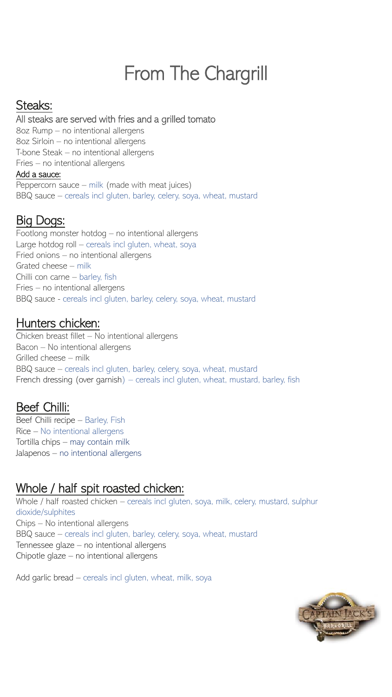# From The Chargrill

# Steaks:

#### All steaks are served with fries and a grilled tomato

8oz Rump – no intentional allergens 8oz Sirloin – no intentional allergens T-bone Steak – no intentional allergens Fries – no intentional allergens

#### Add a sauce:

Peppercorn sauce – milk (made with meat juices) BBQ sauce – cereals incl gluten, barley, celery, soya, wheat, mustard

# Big Dogs:

Footlong monster hotdog – no intentional allergens Large hotdog roll – cereals incl gluten, wheat, soya Fried onions – no intentional allergens Grated cheese – milk Chilli con carne – barley, fish Fries – no intentional allergens BBQ sauce - cereals incl gluten, barley, celery, soya, wheat, mustard

#### Hunters chicken:

Chicken breast fillet – No intentional allergens Bacon – No intentional allergens Grilled cheese – milk BBQ sauce – cereals incl gluten, barley, celery, soya, wheat, mustard French dressing (over garnish) – cereals incl gluten, wheat, mustard, barley, fish

## Beef Chilli:

Beef Chilli recipe – Barley, Fish Rice – No intentional allergens Tortilla chips – may contain milk Jalapenos – no intentional allergens

# Whole / half spit roasted chicken:

Whole / half roasted chicken – cereals incl gluten, soya, milk, celery, mustard, sulphur dioxide/sulphites Chips – No intentional allergens BBQ sauce – cereals incl gluten, barley, celery, soya, wheat, mustard Tennessee glaze – no intentional allergens Chipotle glaze – no intentional allergens

Add garlic bread – cereals incl gluten, wheat, milk, soya

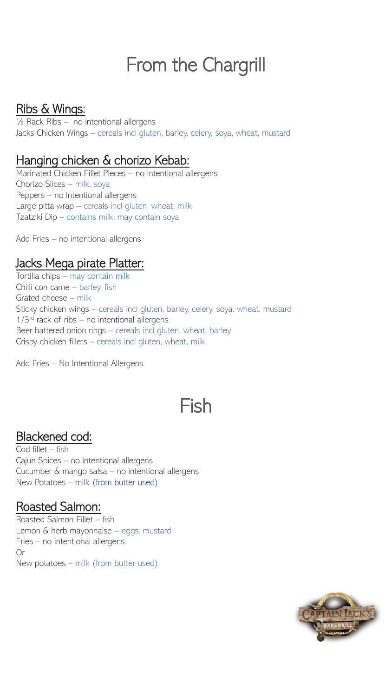# From the Chargrill

## Ribs & Wings:

½ Rack Ribs – no intentional allergens Jacks Chicken Wings – cereals incl gluten, barley, celery, soya, wheat, mustard

### Hanging chicken & chorizo Kebab:

Marinated Chicken Fillet Pieces – no intentional allergens Chorizo Slices – milk, soya Peppers – no intentional allergens Large pitta wrap – cereals incl gluten, wheat, milk Tzatziki Dip – contains milk, may contain soya

Add Fries – no intentional allergens

### Jacks Mega pirate Platter:

Tortilla chips – may contain milk Chilli con carne – barley, fish Grated cheese – milk Sticky chicken wings – cereals incl gluten, barley, celery, soya, wheat, mustard 1/3<sup>rd</sup> rack of ribs – no intentional allergens Beer battered onion rings – cereals incl gluten, wheat, barley Crispy chicken fillets – cereals incl gluten, wheat, milk

Add Fries – No Intentional Allergens

# Fish

## Blackened cod:

Cod fillet – fish Cajun Spices – no intentional allergens Cucumber & mango salsa – no intentional allergens New Potatoes – milk (from butter used)

#### Roasted Salmon:

Roasted Salmon Fillet – fish Lemon & herb mayonnaise – eggs, mustard Fries – no intentional allergens Or New potatoes – milk (from butter used)

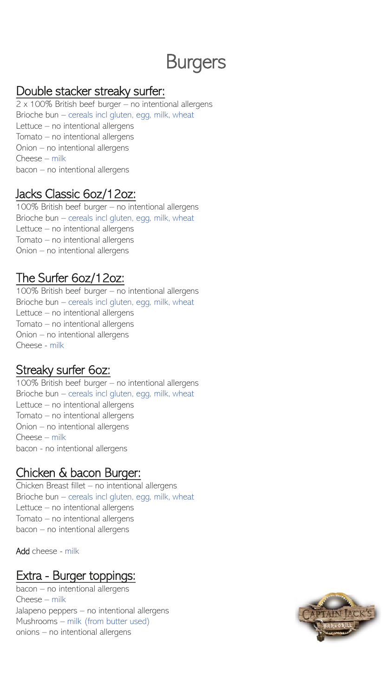# Burgers

#### Double stacker streaky surfer:

2 x 100% British beef burger – no intentional allergens Brioche bun – cereals incl gluten, egg, milk, wheat Lettuce – no intentional allergens Tomato – no intentional allergens Onion – no intentional allergens Cheese – milk bacon – no intentional allergens

#### Jacks Classic 6oz/12oz:

100% British beef burger – no intentional allergens Brioche bun – cereals incl gluten, egg, milk, wheat Lettuce – no intentional allergens Tomato – no intentional allergens Onion – no intentional allergens

## The Surfer 6oz/12oz:

100% British beef burger – no intentional allergens Brioche bun – cereals incl gluten, egg, milk, wheat Lettuce – no intentional allergens Tomato – no intentional allergens Onion – no intentional allergens Cheese - milk

# Streaky surfer 6oz:

100% British beef burger – no intentional allergens Brioche bun – cereals incl gluten, egg, milk, wheat Lettuce – no intentional allergens Tomato – no intentional allergens Onion – no intentional allergens Cheese – milk bacon - no intentional allergens

## Chicken & bacon Burger:

Chicken Breast fillet – no intentional allergens Brioche bun – cereals incl gluten, egg, milk, wheat Lettuce – no intentional allergens Tomato – no intentional allergens bacon – no intentional allergens

Add cheese - milk

## Extra - Burger toppings:

bacon – no intentional allergens Cheese – milk Jalapeno peppers – no intentional allergens Mushrooms – milk (from butter used) onions – no intentional allergens

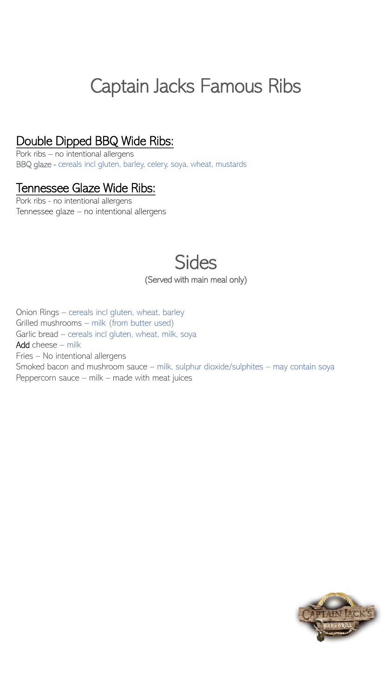# Captain Jacks Famous Ribs

### Double Dipped BBQ Wide Ribs:

Pork ribs – no intentional allergens BBQ glaze - cereals incl gluten, barley, celery, soya, wheat, mustards

#### Tennessee Glaze Wide Ribs:

Pork ribs - no intentional allergens Tennessee glaze – no intentional allergens

# **Sides** (Served with main meal only)

Onion Rings – cereals incl gluten, wheat, barley Grilled mushrooms – milk (from butter used) Garlic bread – cereals incl gluten, wheat, milk, soya Add cheese – milk Fries – No intentional allergens Smoked bacon and mushroom sauce – milk, sulphur dioxide/sulphites – may contain soya Peppercorn sauce – milk – made with meat juices

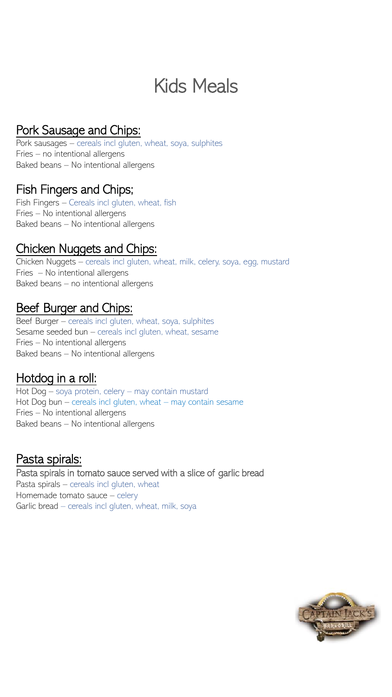# Kids Meals

# Pork Sausage and Chips:

Pork sausages – cereals incl gluten, wheat, soya, sulphites Fries – no intentional allergens Baked beans – No intentional allergens

#### Fish Fingers and Chips;

Fish Fingers – Cereals incl gluten, wheat, fish Fries – No intentional allergens Baked beans – No intentional allergens

### Chicken Nuggets and Chips:

Chicken Nuggets – cereals incl gluten, wheat, milk, celery, soya, egg, mustard Fries – No intentional allergens Baked beans – no intentional allergens

#### Beef Burger and Chips:

Beef Burger – cereals incl gluten, wheat, soya, sulphites Sesame seeded bun – cereals incl gluten, wheat, sesame Fries – No intentional allergens Baked beans – No intentional allergens

#### Hotdog in a roll:

Hot Dog – soya protein, celery – may contain mustard Hot Dog bun – cereals incl gluten, wheat – may contain sesame Fries – No intentional allergens Baked beans – No intentional allergens

#### Pasta spirals:

Pasta spirals in tomato sauce served with a slice of garlic bread Pasta spirals – cereals incl gluten, wheat Homemade tomato sauce – celery Garlic bread – cereals incl gluten, wheat, milk, soya